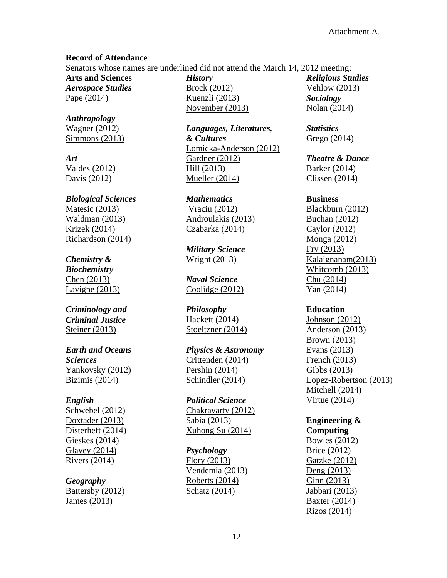#### **Record of Attendance**

Senators whose names are underlined did not attend the March 14, 2012 meeting:

**Arts and Sciences** *Aerospace Studies* Pape (2014)

*Anthropology* Wagner (2012) Simmons (2013)

*Art* Valdes (2012) Davis (2012)

*Biological Sciences* Matesic (2013) Waldman (2013) Krizek (2014) Richardson (2014)

*Chemistry & Biochemistry* Chen (2013) Lavigne (2013)

*Criminology and Criminal Justice* Steiner (2013)

*Earth and Oceans Sciences* Yankovsky (2012) Bizimis (2014)

#### *English*

Schwebel (2012) Doxtader (2013) Disterheft (2014) Gieskes (2014) Glavey (2014) Rivers (2014)

# *Geography*

Battersby (2012) James (2013)

*History* Brock (2012) Kuenzli (2013) November (2013)

*Languages, Literatures, & Cultures* Lomicka-Anderson (2012) Gardner (2012) Hill (2013) Mueller (2014)

*Mathematics* Vraciu (2012) Androulakis (2013) Czabarka (2014)

*Military Science* Wright (2013)

*Naval Science* Coolidge (2012)

*Philosophy* Hackett (2014) Stoeltzner (2014)

*Physics & Astronomy* Crittenden (2014) Pershin (2014) Schindler (2014)

*Political Science* Chakravarty (2012) Sabia (2013) Xuhong Su (2014)

#### *Psychology*

Flory (2013) Vendemia (2013) Roberts (2014) Schatz (2014)

*Religious Studies* Vehlow (2013) *Sociology* Nolan (2014)

*Statistics* Grego (2014)

*Theatre & Dance* Barker (2014) Clissen (2014)

#### **Business**

Blackburn (2012) Buchan (2012) Caylor (2012) Monga (2012) Fry (2013) Kalaignanam(2013) Whitcomb (2013) Chu (2014) Yan (2014)

**Education**

Johnson (2012) Anderson (2013) Brown (2013) Evans (2013) French (2013) Gibbs (2013) Lopez-Robertson (2013) Mitchell (2014) Virtue (2014)

**Engineering & Computing**

Bowles (2012) Brice (2012) Gatzke (2012) Deng (2013) Ginn (2013) Jabbari (2013) Baxter (2014) Rizos (2014)